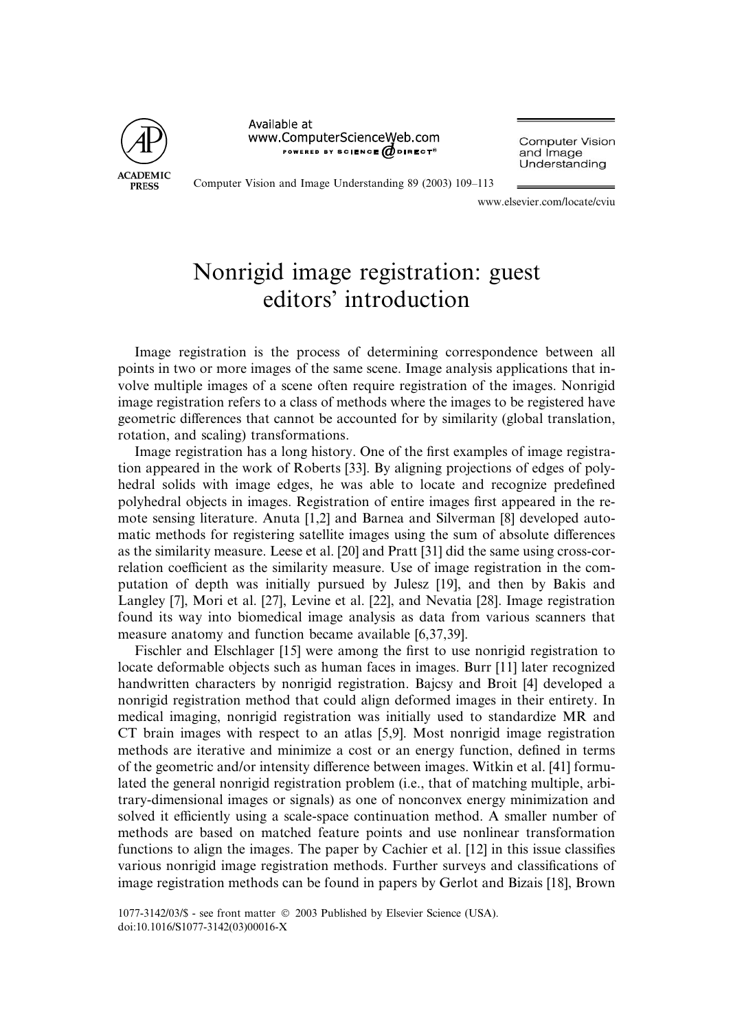

Available at www.ComputerScienceWeb.com POWERED BY SCIENCE @DIRECT<sup>®</sup>

**Computer Vision** and Image Understanding

Computer Vision and Image Understanding 89 (2003) 109–113

www.elsevier.com/locate/cviu

## Nonrigid image registration: guest editors' introduction

Image registration is the process of determining correspondence between all points in two or more images of the same scene. Image analysis applications that involve multiple images of a scene often require registration of the images. Nonrigid image registration refers to a class of methods where the images to be registered have geometric differences that cannot be accounted for by similarity (global translation, rotation, and scaling) transformations.

Image registration has a long history. One of the first examples of image registration appeared in the work of Roberts [33]. By aligning projections of edges of polyhedral solids with image edges, he was able to locate and recognize predefined polyhedral objects in images. Registration of entire images first appeared in the remote sensing literature. Anuta [1,2] and Barnea and Silverman [8] developed automatic methods for registering satellite images using the sum of absolute differences as the similarity measure. Leese et al. [20] and Pratt [31] did the same using cross-correlation coefficient as the similarity measure. Use of image registration in the computation of depth was initially pursued by Julesz [19], and then by Bakis and Langley [7], Mori et al. [27], Levine et al. [22], and Nevatia [28]. Image registration found its way into biomedical image analysis as data from various scanners that measure anatomy and function became available [6,37,39].

Fischler and Elschlager [15] were among the first to use nonrigid registration to locate deformable objects such as human faces in images. Burr [11] later recognized handwritten characters by nonrigid registration. Bajcsy and Broit [4] developed a nonrigid registration method that could align deformed images in their entirety. In medical imaging, nonrigid registration was initially used to standardize MR and CT brain images with respect to an atlas [5,9]. Most nonrigid image registration methods are iterative and minimize a cost or an energy function, defined in terms of the geometric and/or intensity difference between images. Witkin et al. [41] formulated the general nonrigid registration problem (i.e., that of matching multiple, arbitrary-dimensional images or signals) as one of nonconvex energy minimization and solved it efficiently using a scale-space continuation method. A smaller number of methods are based on matched feature points and use nonlinear transformation functions to align the images. The paper by Cachier et al. [12] in this issue classifies various nonrigid image registration methods. Further surveys and classifications of image registration methods can be found in papers by Gerlot and Bizais [18], Brown

1077-3142/03/\$ - see front matter  $\odot$  2003 Published by Elsevier Science (USA). doi:10.1016/S1077-3142(03)00016-X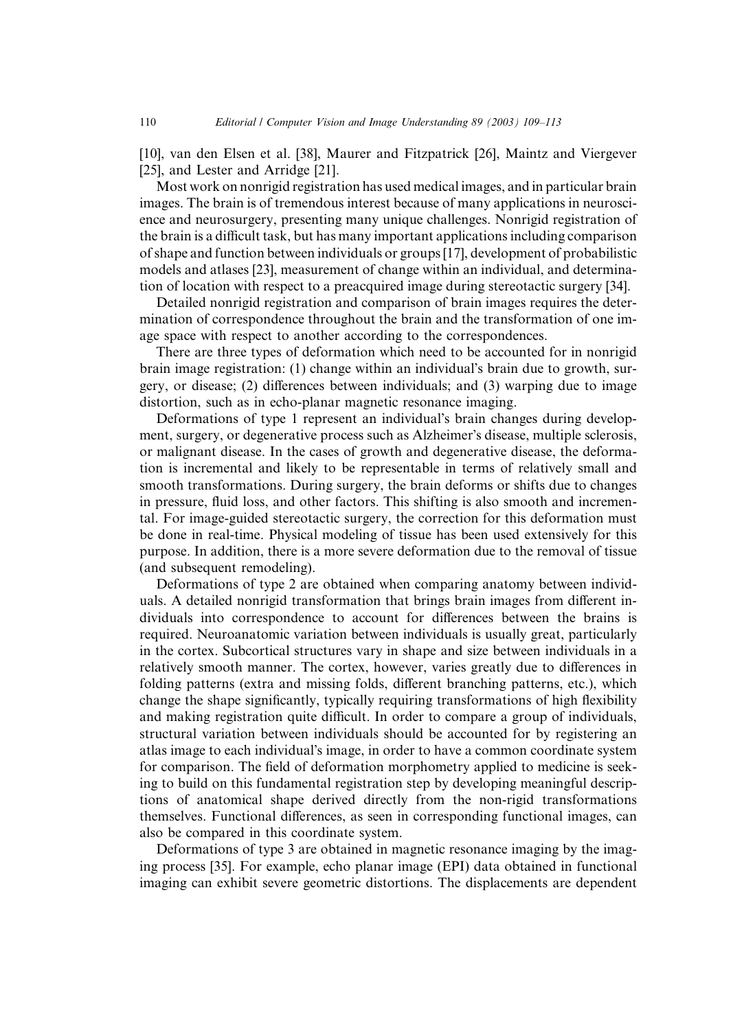[10], van den Elsen et al. [38], Maurer and Fitzpatrick [26], Maintz and Viergever [25], and Lester and Arridge [21].

Most work on nonrigid registration has used medical images, and in particular brain images. The brain is of tremendous interest because of many applications in neuroscience and neurosurgery, presenting many unique challenges. Nonrigid registration of the brain is a difficult task, but has many important applications including comparison of shape and function between individuals or groups [17], development of probabilistic models and atlases [23], measurement of change within an individual, and determination of location with respect to a preacquired image during stereotactic surgery [34].

Detailed nonrigid registration and comparison of brain images requires the determination of correspondence throughout the brain and the transformation of one image space with respect to another according to the correspondences.

There are three types of deformation which need to be accounted for in nonrigid brain image registration: (1) change within an individual's brain due to growth, surgery, or disease; (2) differences between individuals; and (3) warping due to image distortion, such as in echo-planar magnetic resonance imaging.

Deformations of type 1 represent an individual's brain changes during development, surgery, or degenerative process such as Alzheimer's disease, multiple sclerosis, or malignant disease. In the cases of growth and degenerative disease, the deformation is incremental and likely to be representable in terms of relatively small and smooth transformations. During surgery, the brain deforms or shifts due to changes in pressure, fluid loss, and other factors. This shifting is also smooth and incremental. For image-guided stereotactic surgery, the correction for this deformation must be done in real-time. Physical modeling of tissue has been used extensively for this purpose. In addition, there is a more severe deformation due to the removal of tissue (and subsequent remodeling).

Deformations of type 2 are obtained when comparing anatomy between individuals. A detailed nonrigid transformation that brings brain images from different individuals into correspondence to account for differences between the brains is required. Neuroanatomic variation between individuals is usually great, particularly in the cortex. Subcortical structures vary in shape and size between individuals in a relatively smooth manner. The cortex, however, varies greatly due to differences in folding patterns (extra and missing folds, different branching patterns, etc.), which change the shape significantly, typically requiring transformations of high flexibility and making registration quite difficult. In order to compare a group of individuals, structural variation between individuals should be accounted for by registering an atlas image to each individual's image, in order to have a common coordinate system for comparison. The field of deformation morphometry applied to medicine is seeking to build on this fundamental registration step by developing meaningful descriptions of anatomical shape derived directly from the non-rigid transformations themselves. Functional differences, as seen in corresponding functional images, can also be compared in this coordinate system.

Deformations of type 3 are obtained in magnetic resonance imaging by the imaging process [35]. For example, echo planar image (EPI) data obtained in functional imaging can exhibit severe geometric distortions. The displacements are dependent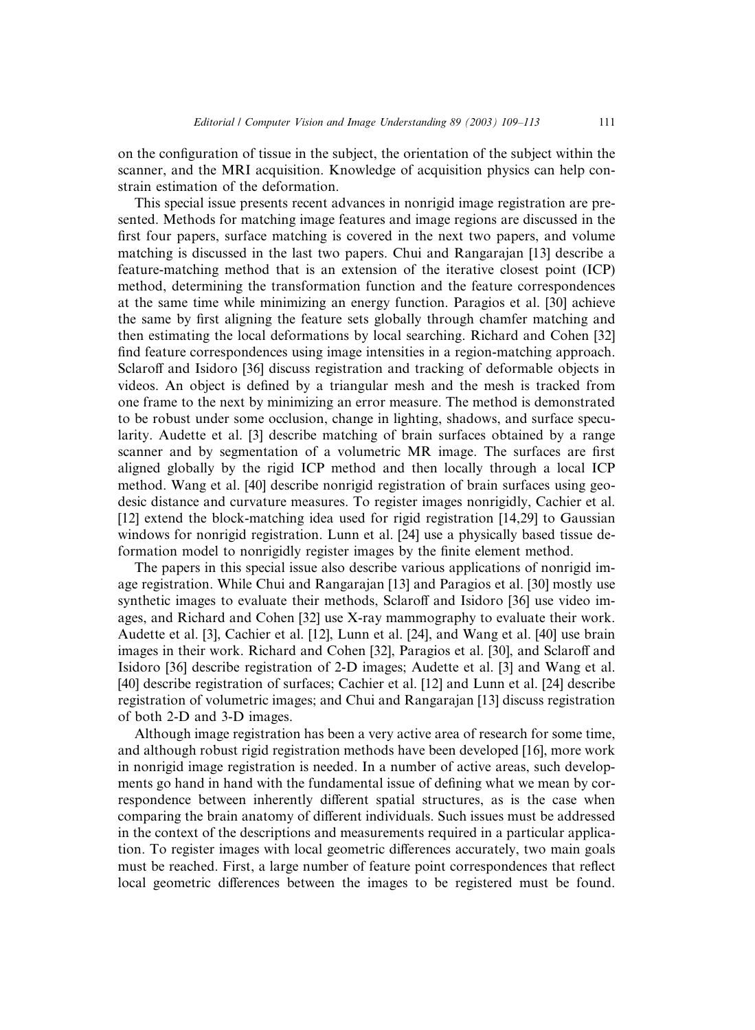on the configuration of tissue in the subject, the orientation of the subject within the scanner, and the MRI acquisition. Knowledge of acquisition physics can help constrain estimation of the deformation.

This special issue presents recent advances in nonrigid image registration are presented. Methods for matching image features and image regions are discussed in the first four papers, surface matching is covered in the next two papers, and volume matching is discussed in the last two papers. Chui and Rangarajan [13] describe a feature-matching method that is an extension of the iterative closest point (ICP) method, determining the transformation function and the feature correspondences at the same time while minimizing an energy function. Paragios et al. [30] achieve the same by first aligning the feature sets globally through chamfer matching and then estimating the local deformations by local searching. Richard and Cohen [32] find feature correspondences using image intensities in a region-matching approach. Sclaroff and Isidoro [36] discuss registration and tracking of deformable objects in videos. An object is defined by a triangular mesh and the mesh is tracked from one frame to the next by minimizing an error measure. The method is demonstrated to be robust under some occlusion, change in lighting, shadows, and surface specularity. Audette et al. [3] describe matching of brain surfaces obtained by a range scanner and by segmentation of a volumetric MR image. The surfaces are first aligned globally by the rigid ICP method and then locally through a local ICP method. Wang et al. [40] describe nonrigid registration of brain surfaces using geodesic distance and curvature measures. To register images nonrigidly, Cachier et al. [12] extend the block-matching idea used for rigid registration [14,29] to Gaussian windows for nonrigid registration. Lunn et al. [24] use a physically based tissue deformation model to nonrigidly register images by the finite element method.

The papers in this special issue also describe various applications of nonrigid image registration. While Chui and Rangarajan [13] and Paragios et al. [30] mostly use synthetic images to evaluate their methods, Sclaroff and Isidoro [36] use video images, and Richard and Cohen [32] use X-ray mammography to evaluate their work. Audette et al. [3], Cachier et al. [12], Lunn et al. [24], and Wang et al. [40] use brain images in their work. Richard and Cohen [32], Paragios et al. [30], and Sclaroff and Isidoro [36] describe registration of 2-D images; Audette et al. [3] and Wang et al. [40] describe registration of surfaces; Cachier et al. [12] and Lunn et al. [24] describe registration of volumetric images; and Chui and Rangarajan [13] discuss registration of both 2-D and 3-D images.

Although image registration has been a very active area of research for some time, and although robust rigid registration methods have been developed [16], more work in nonrigid image registration is needed. In a number of active areas, such developments go hand in hand with the fundamental issue of defining what we mean by correspondence between inherently different spatial structures, as is the case when comparing the brain anatomy of different individuals. Such issues must be addressed in the context of the descriptions and measurements required in a particular application. To register images with local geometric differences accurately, two main goals must be reached. First, a large number of feature point correspondences that reflect local geometric differences between the images to be registered must be found.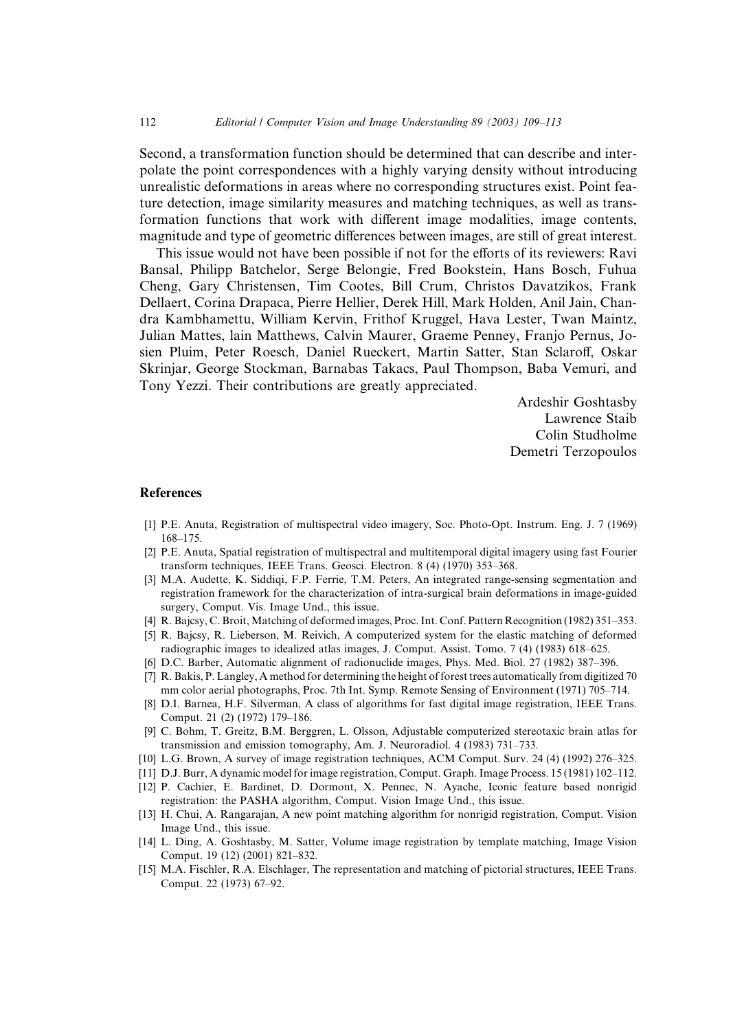Second, a transformation function should be determined that can describe and interpolate the point correspondences with a highly varying density without introducing unrealistic deformations in areas where no corresponding structures exist. Point feature detection, image similarity measures and matching techniques, as well as transformation functions that work with different image modalities, image contents, magnitude and type of geometric differences between images, are still of great interest.

This issue would not have been possible if not for the efforts of its reviewers: Ravi Bansal, Philipp Batchelor, Serge Belongie, Fred Bookstein, Hans Bosch, Fuhua Cheng, Gary Christensen, Tim Cootes, Bill Crum, Christos Davatzikos, Frank Dellaert, Corina Drapaca, Pierre Hellier, Derek Hill, Mark Holden, Anil Jain, Chandra Kambhamettu, William Kervin, Frithof Kruggel, Hava Lester, Twan Maintz, Julian Mattes, lain Matthews, Calvin Maurer, Graeme Penney, Franjo Pernus, Josien Pluim, Peter Roesch, Daniel Rueckert, Martin Satter, Stan Sclaroff, Oskar Skrinjar, George Stockman, Barnabas Takacs, Paul Thompson, Baba Vemuri, and Tony Yezzi. Their contributions are greatly appreciated.

> Ardeshir Goshtasby Lawrence Staib Colin Studholme Demetri Terzopoulos

## References

- [1] P.E. Anuta, Registration of multispectral video imagery, Soc. Photo-Opt. Instrum. Eng. J. 7 (1969) 168–175.
- [2] P.E. Anuta, Spatial registration of multispectral and multitemporal digital imagery using fast Fourier transform techniques, IEEE Trans. Geosci. Electron. 8 (4) (1970) 353–368.
- [3] M.A. Audette, K. Siddiqi, F.P. Ferrie, T.M. Peters, An integrated range-sensing segmentation and registration framework for the characterization of intra-surgical brain deformations in image-guided surgery, Comput. Vis. Image Und., this issue.
- [4] R. Bajcsy, C. Broit, Matching of deformed images, Proc. Int. Conf. Pattern Recognition (1982) 351–353.
- [5] R. Bajcsy, R. Lieberson, M. Reivich, A computerized system for the elastic matching of deformed radiographic images to idealized atlas images, J. Comput. Assist. Tomo. 7 (4) (1983) 618–625.
- [6] D.C. Barber, Automatic alignment of radionuclide images, Phys. Med. Biol. 27 (1982) 387–396.
- [7] R. Bakis, P. Langley, A method for determining the height of forest trees automatically from digitized 70 mm color aerial photographs, Proc. 7th Int. Symp. Remote Sensing of Environment (1971) 705–714.
- [8] D.I. Barnea, H.F. Silverman, A class of algorithms for fast digital image registration, IEEE Trans. Comput. 21 (2) (1972) 179–186.
- [9] C. Bohm, T. Greitz, B.M. Berggren, L. Olsson, Adjustable computerized stereotaxic brain atlas for transmission and emission tomography, Am. J. Neuroradiol. 4 (1983) 731–733.
- [10] L.G. Brown, A survey of image registration techniques, ACM Comput. Surv. 24 (4) (1992) 276–325.
- [11] D.J. Burr, A dynamic model for image registration, Comput. Graph. Image Process. 15 (1981) 102–112.
- [12] P. Cachier, E. Bardinet, D. Dormont, X. Pennec, N. Ayache, Iconic feature based nonrigid registration: the PASHA algorithm, Comput. Vision Image Und., this issue.
- [13] H. Chui, A. Rangarajan, A new point matching algorithm for nonrigid registration, Comput. Vision Image Und., this issue.
- [14] L. Ding, A. Goshtasby, M. Satter, Volume image registration by template matching, Image Vision Comput. 19 (12) (2001) 821–832.
- [15] M.A. Fischler, R.A. Elschlager, The representation and matching of pictorial structures, IEEE Trans. Comput. 22 (1973) 67–92.